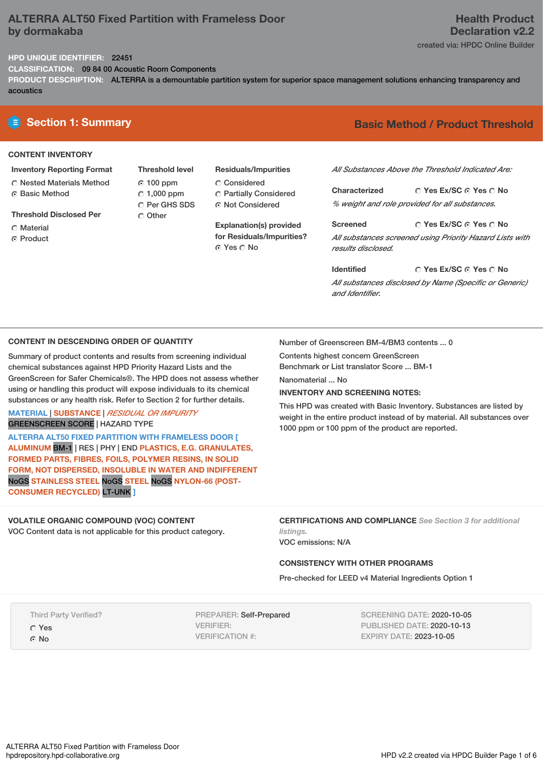# **ALTERRA ALT50 Fixed Partition with Frameless Door by dormakaba**

# **Health Product Declaration v2.2**

created via: HPDC Online Builder

## **HPD UNIQUE IDENTIFIER:** 22451

**CLASSIFICATION:** 09 84 00 Acoustic Room Components

**PRODUCT DESCRIPTION:** ALTERRA is a demountable partition system for superior space management solutions enhancing transparency and acoustics

## **CONTENT INVENTORY**

- **Inventory Reporting Format** Nested Materials Method
- **G** Basic Method
- **Threshold Disclosed Per**
- C Material
- **C** Product

**Threshold level** 100 ppm  $C$  1,000 ppm C Per GHS SDS O Other

**Residuals/Impurities** Considered Partially Considered Not Considered

**Explanation(s) provided for Residuals/Impurities?** © Yes ∩ No

# **E** Section 1: Summary **Basic** Method / Product Threshold

*All Substances Above the Threshold Indicated Are:*

**Yes Ex/SC Yes No Characterized** *% weight and role provided for all substances.*

**Yes Ex/SC Yes No Screened** *All substances screened using Priority Hazard Lists with results disclosed.*

**Yes Ex/SC Yes No Identified** *All substances disclosed by Name (Specific or Generic) and Identifier.*

#### **CONTENT IN DESCENDING ORDER OF QUANTITY**

Summary of product contents and results from screening individual chemical substances against HPD Priority Hazard Lists and the GreenScreen for Safer Chemicals®. The HPD does not assess whether using or handling this product will expose individuals to its chemical substances or any health risk. Refer to Section 2 for further details.

## **MATERIAL** | **SUBSTANCE** | *RESIDUAL OR IMPURITY* GREENSCREEN SCORE | HAZARD TYPE

**ALTERRA ALT50 FIXED PARTITION WITH FRAMELESS DOOR [ ALUMINUM** BM-1 | RES | PHY | END **PLASTICS, E.G. GRANULATES, FORMED PARTS, FIBRES, FOILS, POLYMER RESINS, IN SOLID FORM, NOT DISPERSED, INSOLUBLE IN WATER AND INDIFFERENT** NoGS **STAINLESS STEEL** NoGS **STEEL** NoGS **NYLON-66 (POST-CONSUMER RECYCLED)** LT-UNK **]**

#### **VOLATILE ORGANIC COMPOUND (VOC) CONTENT** VOC Content data is not applicable for this product category.

**CERTIFICATIONS AND COMPLIANCE** *See Section 3 for additional listings.*

This HPD was created with Basic Inventory. Substances are listed by weight in the entire product instead of by material. All substances over

VOC emissions: N/A

Nanomaterial ... No

## **CONSISTENCY WITH OTHER PROGRAMS**

Number of Greenscreen BM-4/BM3 contents ... 0

1000 ppm or 100 ppm of the product are reported.

Contents highest concern GreenScreen Benchmark or List translator Score ... BM-1

**INVENTORY AND SCREENING NOTES:**

Pre-checked for LEED v4 Material Ingredients Option 1

Third Party Verified?

Yes

G<sub>No</sub>

PREPARER: Self-Prepared VERIFIER: VERIFICATION #:

SCREENING DATE: 2020-10-05 PUBLISHED DATE: 2020-10-13 EXPIRY DATE: 2023-10-05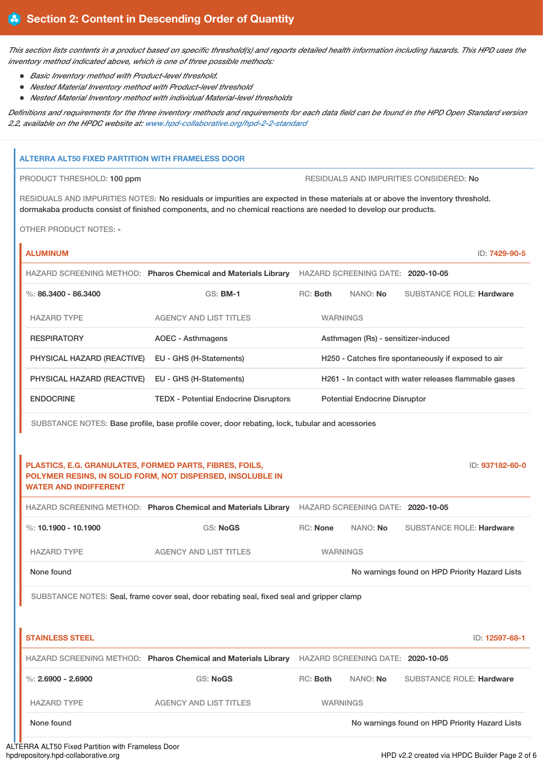This section lists contents in a product based on specific threshold(s) and reports detailed health information including hazards. This HPD uses the *inventory method indicated above, which is one of three possible methods:*

- *Basic Inventory method with Product-level threshold.*
- *Nested Material Inventory method with Product-level threshold*
- *Nested Material Inventory method with individual Material-level thresholds*

Definitions and requirements for the three inventory methods and requirements for each data field can be found in the HPD Open Standard version *2.2, available on the HPDC website at: [www.hpd-collaborative.org/hpd-2-2-standard](https://www.hpd-collaborative.org/hpd-2-2-standard)*

#### **ALTERRA ALT50 FIXED PARTITION WITH FRAMELESS DOOR**

PRODUCT THRESHOLD: 100 ppm  $\qquad \qquad$  RESIDUALS AND IMPURITIES CONSIDERED: No

RESIDUALS AND IMPURITIES NOTES: No residuals or impurities are expected in these materials at or above the inventory threshold. dormakaba products consist of finished components, and no chemical reactions are needed to develop our products.

OTHER PRODUCT NOTES: -

| <b>ALUMINUM</b>            |                                                                |            |                 |                                      |                                                       | ID: 7429-90-5 |
|----------------------------|----------------------------------------------------------------|------------|-----------------|--------------------------------------|-------------------------------------------------------|---------------|
|                            | HAZARD SCREENING METHOD: Pharos Chemical and Materials Library |            |                 | HAZARD SCREENING DATE: 2020-10-05    |                                                       |               |
| %: $86.3400 - 86.3400$     | $GS:$ BM-1                                                     | $RC:$ Both |                 | NANO: <b>No</b>                      | <b>SUBSTANCE ROLE: Hardware</b>                       |               |
| <b>HAZARD TYPE</b>         | <b>AGENCY AND LIST TITLES</b>                                  |            | <b>WARNINGS</b> |                                      |                                                       |               |
| <b>RESPIRATORY</b>         | AOEC - Asthmagens                                              |            |                 | Asthmagen (Rs) - sensitizer-induced  |                                                       |               |
| PHYSICAL HAZARD (REACTIVE) | EU - GHS (H-Statements)                                        |            |                 |                                      | H250 - Catches fire spontaneously if exposed to air   |               |
| PHYSICAL HAZARD (REACTIVE) | EU - GHS (H-Statements)                                        |            |                 |                                      | H261 - In contact with water releases flammable gases |               |
| <b>ENDOCRINE</b>           | <b>TEDX</b> - Potential Endocrine Disruptors                   |            |                 | <b>Potential Endocrine Disruptor</b> |                                                       |               |

SUBSTANCE NOTES: Base profile, base profile cover, door rebating, lock, tubular and acessories

## **PLASTICS, E.G. GRANULATES, FORMED PARTS, FIBRES, FOILS, POLYMER RESINS, IN SOLID FORM, NOT DISPERSED, INSOLUBLE IN WATER AND INDIFFERENT**

ID: **937182-60-0**

HAZARD SCREENING METHOD: **Pharos Chemical and Materials Library** HAZARD SCREENING DATE: **2020-10-05**

| $\%$ : 10.1900 - 10.1900 | GS: NoGS               | RC: None        | NANO: No | <b>SUBSTANCE ROLE: Hardware</b>                |
|--------------------------|------------------------|-----------------|----------|------------------------------------------------|
| <b>HAZARD TYPE</b>       | AGENCY AND LIST TITLES | <b>WARNINGS</b> |          |                                                |
| None found               |                        |                 |          | No warnings found on HPD Priority Hazard Lists |

SUBSTANCE NOTES: Seal, frame cover seal, door rebating seal, fixed seal and gripper clamp

| <b>STAINLESS STEEL</b> |                                                                |          |                                   | ID: 12597-68-1                                 |
|------------------------|----------------------------------------------------------------|----------|-----------------------------------|------------------------------------------------|
|                        | HAZARD SCREENING METHOD: Pharos Chemical and Materials Library |          | HAZARD SCREENING DATE: 2020-10-05 |                                                |
| %: $2.6900 - 2.6900$   | <b>GS: NoGS</b>                                                | RC: Both | NANO: No                          | <b>SUBSTANCE ROLE: Hardware</b>                |
| <b>HAZARD TYPE</b>     | AGENCY AND LIST TITLES                                         |          | <b>WARNINGS</b>                   |                                                |
| None found             |                                                                |          |                                   | No warnings found on HPD Priority Hazard Lists |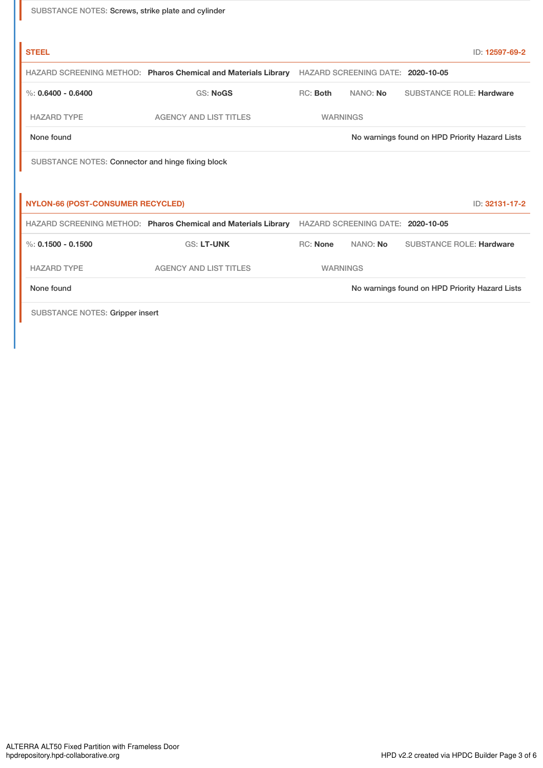| SUBSTANCE NOTES: Screws, strike plate and cylinder |  |  |
|----------------------------------------------------|--|--|
|----------------------------------------------------|--|--|

| <b>STEEL</b>                                      |                                                                                                  |                 |                                   | ID: 12597-69-2                                 |
|---------------------------------------------------|--------------------------------------------------------------------------------------------------|-----------------|-----------------------------------|------------------------------------------------|
|                                                   | HAZARD SCREENING METHOD: Pharos Chemical and Materials Library HAZARD SCREENING DATE: 2020-10-05 |                 |                                   |                                                |
| %: $0.6400 - 0.6400$                              | <b>GS: NoGS</b>                                                                                  | RC: Both        | NANO: No                          | <b>SUBSTANCE ROLE: Hardware</b>                |
| <b>HAZARD TYPE</b>                                | <b>AGENCY AND LIST TITLES</b>                                                                    | <b>WARNINGS</b> |                                   |                                                |
| None found                                        |                                                                                                  |                 |                                   | No warnings found on HPD Priority Hazard Lists |
| SUBSTANCE NOTES: Connector and hinge fixing block |                                                                                                  |                 |                                   |                                                |
|                                                   |                                                                                                  |                 |                                   |                                                |
| <b>NYLON-66 (POST-CONSUMER RECYCLED)</b>          |                                                                                                  |                 |                                   | ID: 32131-17-2                                 |
|                                                   | HAZARD SCREENING METHOD: Pharos Chemical and Materials Library                                   |                 | HAZARD SCREENING DATE: 2020-10-05 |                                                |
| %: $0.1500 - 0.1500$                              | <b>GS: LT-UNK</b>                                                                                | <b>RC: None</b> | NANO: No                          | <b>SUBSTANCE ROLE: Hardware</b>                |
| <b>HAZARD TYPE</b>                                | <b>AGENCY AND LIST TITLES</b>                                                                    | <b>WARNINGS</b> |                                   |                                                |
| None found                                        |                                                                                                  |                 |                                   | No warnings found on HPD Priority Hazard Lists |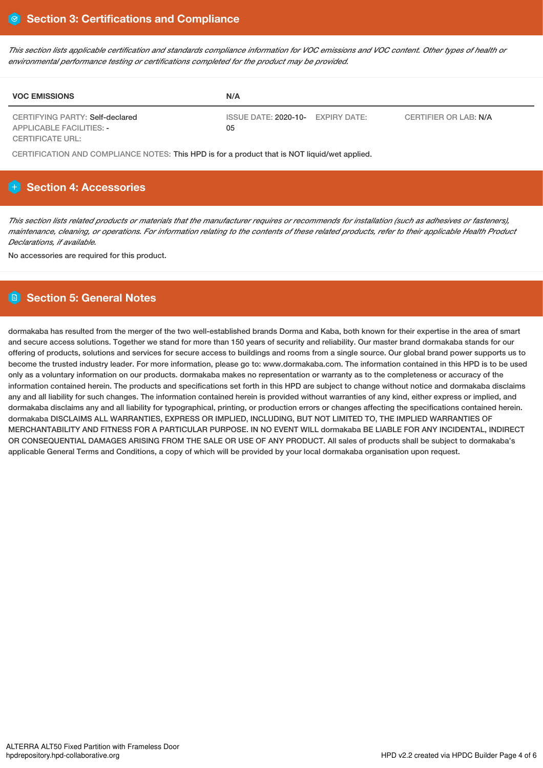This section lists applicable certification and standards compliance information for VOC emissions and VOC content. Other types of health or *environmental performance testing or certifications completed for the product may be provided.*

| <b>VOC EMISSIONS</b>                                               | N/A                                     |                       |
|--------------------------------------------------------------------|-----------------------------------------|-----------------------|
| CERTIFYING PARTY: Self-declared<br><b>APPLICABLE FACILITIES: -</b> | ISSUE DATE: 2020-10- EXPIRY DATE:<br>05 | CERTIFIER OR LAB: N/A |
| <b>CERTIFICATE URL:</b>                                            |                                         |                       |

CERTIFICATION AND COMPLIANCE NOTES: This HPD is for a product that is NOT liquid/wet applied.

# **Section 4: Accessories**

This section lists related products or materials that the manufacturer requires or recommends for installation (such as adhesives or fasteners), maintenance, cleaning, or operations. For information relating to the contents of these related products, refer to their applicable Health Product *Declarations, if available.*

No accessories are required for this product.

# **Section 5: General Notes**

dormakaba has resulted from the merger of the two well-established brands Dorma and Kaba, both known for their expertise in the area of smart and secure access solutions. Together we stand for more than 150 years of security and reliability. Our master brand dormakaba stands for our offering of products, solutions and services for secure access to buildings and rooms from a single source. Our global brand power supports us to become the trusted industry leader. For more information, please go to: www.dormakaba.com. The information contained in this HPD is to be used only as a voluntary information on our products. dormakaba makes no representation or warranty as to the completeness or accuracy of the information contained herein. The products and specifications set forth in this HPD are subject to change without notice and dormakaba disclaims any and all liability for such changes. The information contained herein is provided without warranties of any kind, either express or implied, and dormakaba disclaims any and all liability for typographical, printing, or production errors or changes affecting the specifications contained herein. dormakaba DISCLAIMS ALL WARRANTIES, EXPRESS OR IMPLIED, INCLUDING, BUT NOT LIMITED TO, THE IMPLIED WARRANTIES OF MERCHANTABILITY AND FITNESS FOR A PARTICULAR PURPOSE. IN NO EVENT WILL dormakaba BE LIABLE FOR ANY INCIDENTAL, INDIRECT OR CONSEQUENTIAL DAMAGES ARISING FROM THE SALE OR USE OF ANY PRODUCT. All sales of products shall be subject to dormakaba's applicable General Terms and Conditions, a copy of which will be provided by your local dormakaba organisation upon request.